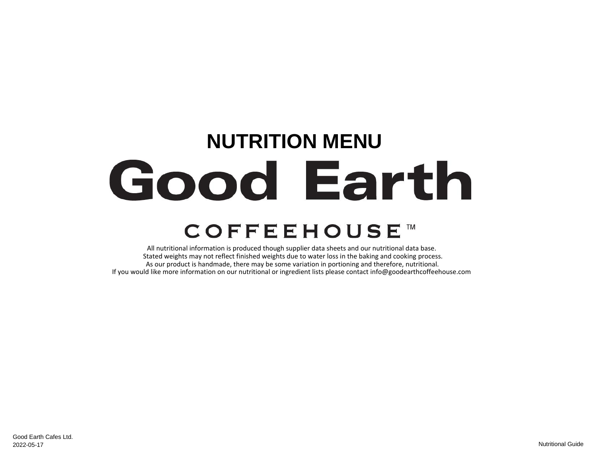## **NUTRITION MENU** Good Earth **COFFEEHOUSE™**

All nutritional information is produced though supplier data sheets and our nutritional data base. Stated weights may not reflect finished weights due to water loss in the baking and cooking process. As our product is handmade, there may be some variation in portioning and therefore, nutritional. If you would like more information on our nutritional or ingredient lists please contact info@goodearthcoffeehouse.com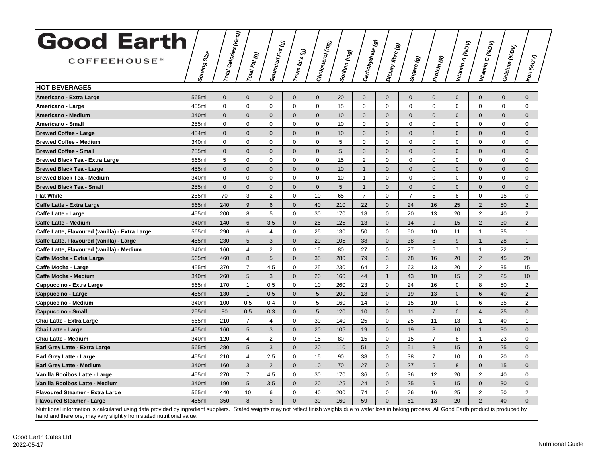| <b>Good Earth</b>                                                                                                                                                                                                                                                                   |                | $\left  r_{0tq} \right\rangle_{Cqlo_{rl\hat{e}s}(\kappa_{Gq})}$ |                | $\widehat{\mathcal{Q}}$ |                                  |                  |             |                  |                   |                |                |                               |                 |               |                               |
|-------------------------------------------------------------------------------------------------------------------------------------------------------------------------------------------------------------------------------------------------------------------------------------|----------------|-----------------------------------------------------------------|----------------|-------------------------|----------------------------------|------------------|-------------|------------------|-------------------|----------------|----------------|-------------------------------|-----------------|---------------|-------------------------------|
| <b>COFFEEHOUSE™</b>                                                                                                                                                                                                                                                                 | Serving Size   |                                                                 | Total Fat (g)  | Saturated Fat (         | $ r_{\mathsf{cans\,fats}}_{(g)}$ | Cholesterol (mg) | Sodium (mg) | Carbohydrate (g) | Dietary fibre (g) | Sugars (g)     | Protein (g)    | Vitamin A (%D <sub>V)</sub>   | Vitamin C (%DV) | Calcium (%DV) | Iron <sub>(%DV)</sub>         |
| <b>HOT BEVERAGES</b>                                                                                                                                                                                                                                                                |                |                                                                 |                |                         |                                  |                  |             |                  |                   |                |                |                               |                 |               |                               |
|                                                                                                                                                                                                                                                                                     |                |                                                                 | $\Omega$       | $\Omega$                | $\Omega$                         | $\Omega$         |             | $\Omega$         | $\Omega$          | $\Omega$       | $\Omega$       |                               | $\Omega$        | $\Omega$      |                               |
| Americano - Extra Large                                                                                                                                                                                                                                                             | 565ml<br>455ml | $\Omega$<br>$\mathbf 0$                                         | $\mathbf 0$    | $\mathbf 0$             | $\mathbf 0$                      | $\mathbf 0$      | 20<br>15    | $\Omega$         | $\mathbf 0$       | $\mathbf 0$    | $\mathbf 0$    | $\overline{0}$<br>$\mathbf 0$ | $\mathbf 0$     | $\mathbf 0$   | $\overline{0}$<br>$\mathbf 0$ |
| Americano - Large<br>Americano - Medium                                                                                                                                                                                                                                             | 340ml          | $\Omega$                                                        | $\mathbf 0$    | $\mathbf 0$             | $\Omega$                         | $\mathbf{0}$     | 10          | $\Omega$         | $\mathbf{0}$      | $\Omega$       | $\mathbf 0$    | $\mathbf 0$                   | $\Omega$        | $\Omega$      | $\mathbf{0}$                  |
| Americano - Small                                                                                                                                                                                                                                                                   | 255ml          | 0                                                               | $\mathbf 0$    | $\mathbf 0$             | $\mathbf 0$                      | $\mathbf 0$      | 10          | $\Omega$         | $\mathbf 0$       | $\mathbf 0$    | $\mathbf 0$    | $\mathbf 0$                   | $\mathbf 0$     | $\mathbf 0$   | 0                             |
| <b>Brewed Coffee - Large</b>                                                                                                                                                                                                                                                        | 454ml          | $\mathbf{0}$                                                    | $\mathbf{0}$   | $\mathbf{0}$            | $\mathbf{0}$                     | $\mathbf{0}$     | 10          | $\mathbf{0}$     | $\mathbf{0}$      | $\mathbf{0}$   | $\mathbf{1}$   | $\overline{0}$                | $\mathbf{0}$    | $\mathbf{0}$  | $\overline{0}$                |
| <b>Brewed Coffee - Medium</b>                                                                                                                                                                                                                                                       | 340ml          | 0                                                               | $\mathbf 0$    | $\mathbf 0$             | $\Omega$                         | 0                | 5           | 0                | $\mathbf 0$       | 0              | $\pmb{0}$      | 0                             | 0               | $\mathbf 0$   | 0                             |
| <b>Brewed Coffee - Small</b>                                                                                                                                                                                                                                                        | 255ml          | $\mathbf{0}$                                                    | $\mathbf{0}$   | $\mathbf{0}$            | $\Omega$                         | $\mathbf{0}$     | 5           | $\mathbf{0}$     | $\overline{0}$    | $\mathbf{0}$   | $\mathbf{0}$   | $\mathbf 0$                   | $\mathbf{0}$    | $\mathbf{0}$  | $\overline{0}$                |
| <b>Brewed Black Tea - Extra Large</b>                                                                                                                                                                                                                                               | 565ml          | 5                                                               | $\Omega$       | $\Omega$                | $\Omega$                         | 0                | 15          | $\overline{2}$   | $\Omega$          | $\Omega$       | $\mathbf 0$    | 0                             | $\Omega$        | $\Omega$      | 0                             |
| Brewed Black Tea - Large                                                                                                                                                                                                                                                            | 455ml          | $\Omega$                                                        | $\mathbf{0}$   | $\mathbf{0}$            | $\Omega$                         | $\mathbf{0}$     | 10          | 1                | $\mathbf{0}$      | $\mathbf{0}$   | $\Omega$       | $\mathbf{0}$                  | $\mathbf{0}$    | $\Omega$      | $\overline{0}$                |
| <b>Brewed Black Tea - Medium</b>                                                                                                                                                                                                                                                    | 340ml          | 0                                                               | $\mathbf 0$    | $\mathbf 0$             | $\mathbf 0$                      | $\mathbf 0$      | 10          | $\mathbf{1}$     | $\mathbf 0$       | $\mathbf 0$    | $\mathbf 0$    | $\mathbf 0$                   | $\mathbf 0$     | $\mathbf 0$   | 0                             |
| <b>Brewed Black Tea - Small</b>                                                                                                                                                                                                                                                     | 255ml          | $\mathbf{0}$                                                    | $\mathbf{0}$   | $\mathbf{0}$            | $\mathbf{0}$                     | $\mathbf{0}$     | 5           | $\overline{1}$   | $\mathbf{0}$      | $\mathbf{0}$   | $\mathbf{0}$   | $\mathbf{0}$                  | $\mathbf{0}$    | $\mathbf{0}$  | $\overline{0}$                |
| <b>Flat White</b>                                                                                                                                                                                                                                                                   | 255ml          | 70                                                              | 3              | 2                       | $\Omega$                         | 10               | 65          | $\overline{7}$   | $\mathbf 0$       | $\overline{7}$ | 5              | 8                             | $\Omega$        | 15            | 0                             |
| Caffe Latte - Extra Large                                                                                                                                                                                                                                                           | 565ml          | 240                                                             | 9              | 6                       | $\mathbf{0}$                     | 40               | 210         | 22               | $\mathbf{0}$      | 24             | 16             | 25                            | $\overline{2}$  | 50            | $\overline{2}$                |
| Caffe Latte - Large                                                                                                                                                                                                                                                                 | 455ml          | 200                                                             | 8              | 5                       | $\Omega$                         | 30               | 170         | 18               | $\Omega$          | 20             | 13             | 20                            | 2               | 40            | 2                             |
| Caffe Latte - Medium                                                                                                                                                                                                                                                                | 340ml          | 140                                                             | 6              | 3.5                     | $\mathbf{0}$                     | 25               | 125         | 13               | $\mathbf{0}$      | 14             | 9              | 15                            | 2               | 30            | $\overline{2}$                |
| Caffe Latte, Flavoured (vanilla) - Extra Large                                                                                                                                                                                                                                      | 565ml          | 290                                                             | 6              | 4                       | $\mathbf 0$                      | 25               | 130         | 50               | $\mathbf 0$       | 50             | 10             | 11                            | $\mathbf{1}$    | 35            | $\mathbf{1}$                  |
| Caffe Latte, Flavoured (vanilla) - Large                                                                                                                                                                                                                                            | 455ml          | 230                                                             | 5              | 3                       | $\mathbf{0}$                     | 20               | 105         | 38               | $\overline{0}$    | 38             | 8              | 9                             | $\mathbf{1}$    | 28            | $\mathbf{1}$                  |
| Caffe Latte, Flavoured (vanilla) - Medium                                                                                                                                                                                                                                           | 340ml          | 160                                                             | $\overline{4}$ | 2                       | $\Omega$                         | 15               | 80          | 27               | $\mathbf 0$       | 27             | 6              | $\overline{7}$                | $\mathbf{1}$    | 22            | $\mathbf{1}$                  |
| Caffe Mocha - Extra Large                                                                                                                                                                                                                                                           | 565ml          | 460                                                             | 8              | 5                       | $\Omega$                         | 35               | 280         | 79               | 3                 | 78             | 16             | 20                            | 2               | 45            | 20                            |
| Caffe Mocha - Large                                                                                                                                                                                                                                                                 | 455ml          | 370                                                             | $\overline{7}$ | 4.5                     | $\mathbf 0$                      | 25               | 230         | 64               | $\overline{2}$    | 63             | 13             | 20                            | 2               | 35            | 15                            |
| Caffe Mocha - Medium                                                                                                                                                                                                                                                                | 340ml          | 260                                                             | 5              | 3                       | $\mathbf{0}$                     | 20               | 160         | 44               | $\mathbf{1}$      | 43             | 10             | 15                            | 2               | 25            | 10                            |
| Cappuccino - Extra Large                                                                                                                                                                                                                                                            | 565ml          | 170                                                             | $\mathbf{1}$   | 0.5                     | $\mathbf 0$                      | 10               | 260         | 23               | $\mathbf 0$       | 24             | 16             | $\mathbf 0$                   | 8               | 50            | $\overline{2}$                |
| Cappuccino - Large                                                                                                                                                                                                                                                                  | 455ml          | 130                                                             | $\mathbf{1}$   | 0.5                     | $\Omega$                         | $5\phantom{.0}$  | 200         | 18               | $\mathbf 0$       | 19             | 13             | $\mathbf 0$                   | 6               | 40            | $\overline{2}$                |
| Cappuccino - Medium                                                                                                                                                                                                                                                                 | 340ml          | 100                                                             | 0.5            | 0.4                     | $\Omega$                         | 5                | 160         | 14               | $\Omega$          | 15             | 10             | 0                             | 6               | 35            | $\overline{2}$                |
| <b>Cappuccino - Small</b>                                                                                                                                                                                                                                                           | 255ml          | 80                                                              | 0.5            | 0.3                     | $\mathbf{0}$                     | 5                | 120         | 10               | $\mathbf{0}$      | 11             | $\overline{7}$ | $\overline{0}$                | $\overline{4}$  | 25            | $\overline{0}$                |
| Chai Latte - Extra Large                                                                                                                                                                                                                                                            | 565ml          | 210                                                             | $\overline{7}$ | $\overline{4}$          | $\Omega$                         | 30               | 140         | 25               | $\mathbf 0$       | 25             | 11             | 13                            | $\mathbf{1}$    | 40            | $\mathbf{1}$                  |
| Chai Latte - Large                                                                                                                                                                                                                                                                  | 455ml          | 160                                                             | 5              | 3                       | $\mathbf{0}$                     | 20               | 105         | 19               | $\overline{0}$    | 19             | 8              | 10                            | $\mathbf{1}$    | 30            | $\overline{0}$                |
| Chai Latte - Medium                                                                                                                                                                                                                                                                 | 340ml          | 120                                                             | $\overline{4}$ | 2                       | $\Omega$                         | 15               | 80          | 15               | $\mathbf 0$       | 15             | $\overline{7}$ | 8                             | $\mathbf{1}$    | 23            | 0                             |
| Earl Grey Latte - Extra Large                                                                                                                                                                                                                                                       | 565ml          | 280                                                             | 5              | 3                       | $\Omega$                         | 20               | 110         | 51               | $\mathbf{0}$      | 51             | 8              | 15                            | $\mathbf{0}$    | 25            | $\overline{0}$                |
| Earl Grey Latte - Large                                                                                                                                                                                                                                                             | 455ml          | 210                                                             | $\overline{4}$ | 2.5                     | $\Omega$                         | 15               | 90          | 38               | $\mathbf 0$       | 38             | $\overline{7}$ | 10                            | $\mathbf 0$     | 20            | 0                             |
| <b>Earl Grey Latte - Medium</b>                                                                                                                                                                                                                                                     | 340ml          | 160                                                             | 3              | 2                       | $\mathbf{0}$                     | 10               | 70          | 27               | $\mathbf{0}$      | 27             | 5              | 8                             | $\mathbf{0}$    | 15            | $\overline{0}$                |
| Vanilla Rooibos Latte - Large                                                                                                                                                                                                                                                       | 455ml          | 270                                                             | $\overline{7}$ | 4.5                     | $\Omega$                         | 30               | 170         | 36               | $\mathbf 0$       | 36             | 12             | 20                            | 2               | 40            | 0                             |
| Vanilla Rooibos Latte - Medium                                                                                                                                                                                                                                                      | 340ml          | 190                                                             | 5              | 3.5                     | $\mathbf{0}$                     | 20               | 125         | 24               | $\mathbf 0$       | 25             | 9              | 15                            | $\mathbf 0$     | 30            | $\mathbf 0$                   |
| <b>Flavoured Steamer - Extra Large</b>                                                                                                                                                                                                                                              | 565ml          | 440                                                             | 10             | 6                       | $\mathbf 0$                      | 40               | 200         | 74               | $\mathbf 0$       | 76             | 16             | 25                            | 2               | 50            | $\overline{2}$                |
| <b>Flavoured Steamer - Large</b>                                                                                                                                                                                                                                                    | 455ml          | 350                                                             | 8              | 5                       | $\Omega$                         | 30               | 160         | 59               | $\mathbf{0}$      | 61             | 13             | 20                            | $\overline{2}$  | 40            | $\Omega$                      |
| Nutritional information is calculated using data provided by ingredient suppliers. Stated weights may not reflect finish weights due to water loss in baking process. All Good Earth product is produced by<br>hand and therefore, may vary slightly from stated nutritional value. |                |                                                                 |                |                         |                                  |                  |             |                  |                   |                |                |                               |                 |               |                               |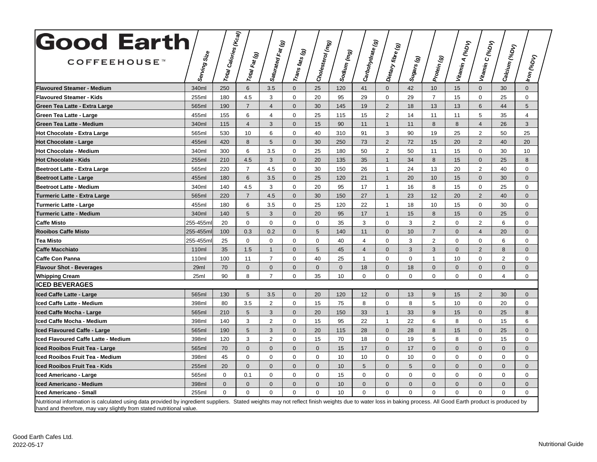| <b>Good Earth</b><br><b>COFFEEHOUSE</b>                                                                                                                                                                                                                                            | Serving Size | $\left  r_{0t a_l} \right _{\text{Ca} / \text{Ori\'es} } (\kappa_{\text{Ca}\textit{J}})$ | Total Fat (g)   | Saturated Fat (g) | $\vert r_{\rm ans \, \it fats} \vert_{\rm (g)}$ | Cholesterol (mg) | Sodium (mg) | ම<br> Carbohydrate <i>(</i> | Dietary fibre (g) | Sugars (g)   | Protein (g)    | Vitamin A (%D <sub>V)</sub> | Vitamin C (%DV) | Calcium (%DV)  | Iron <sub>(%DV)</sub> |
|------------------------------------------------------------------------------------------------------------------------------------------------------------------------------------------------------------------------------------------------------------------------------------|--------------|------------------------------------------------------------------------------------------|-----------------|-------------------|-------------------------------------------------|------------------|-------------|-----------------------------|-------------------|--------------|----------------|-----------------------------|-----------------|----------------|-----------------------|
|                                                                                                                                                                                                                                                                                    |              |                                                                                          |                 |                   |                                                 |                  |             |                             |                   |              |                |                             |                 |                |                       |
| <b>Flavoured Steamer - Medium</b>                                                                                                                                                                                                                                                  | 340ml        | 250                                                                                      | $6\overline{6}$ | 3.5               | $\mathbf{0}$                                    | 25               | 120         | 41                          | $\mathbf{0}$      | 42           | 10             | 15                          | $\mathbf{0}$    | 30             | $\overline{0}$        |
| <b>Flavoured Steamer - Kids</b>                                                                                                                                                                                                                                                    | 255ml        | 180                                                                                      | 4.5             | 3                 | $\Omega$                                        | 20               | 95          | 29                          | $\mathbf 0$       | 29           | $\overline{7}$ | 15                          | $\Omega$        | 25             | 0                     |
| Green Tea Latte - Extra Large                                                                                                                                                                                                                                                      | 565ml        | 190                                                                                      | $\overline{7}$  | $\overline{4}$    | $\Omega$                                        | 30               | 145         | 19                          | $\overline{2}$    | 18           | 13             | 13                          | 6               | 44             | 5                     |
| Green Tea Latte - Large                                                                                                                                                                                                                                                            | 455ml        | 155                                                                                      | 6               | 4                 | $\Omega$                                        | 25               | 115         | 15                          | $\overline{2}$    | 14           | 11             | 11                          | 5               | 35             | 4                     |
| Green Tea Latte - Medium                                                                                                                                                                                                                                                           | 340ml        | 115                                                                                      | $\overline{4}$  | 3                 | $\Omega$                                        | 15               | 90          | 11                          | $\mathbf{1}$      | 11           | 8              | 8                           | $\overline{4}$  | 26             | 3                     |
| <b>Hot Chocolate - Extra Large</b>                                                                                                                                                                                                                                                 | 565ml        | 530                                                                                      | 10              | 6                 | $\Omega$                                        | 40               | 310         | 91                          | 3                 | 90           | 19             | 25                          | 2               | 50             | 25                    |
| <b>Hot Chocolate - Large</b>                                                                                                                                                                                                                                                       | 455ml        | 420                                                                                      | 8               | 5                 | $\Omega$                                        | 30               | 250         | 73                          | $\overline{2}$    | 72           | 15             | 20                          | 2               | 40             | 20                    |
| <b>Hot Chocolate - Medium</b>                                                                                                                                                                                                                                                      | 340ml        | 300                                                                                      | 6               | 3.5               | $\Omega$                                        | 25               | 180         | 50                          | $\overline{2}$    | 50           | 11             | 15                          | $\Omega$        | 30             | 10                    |
| <b>Hot Chocolate - Kids</b>                                                                                                                                                                                                                                                        | 255ml        | 210                                                                                      | 4.5             | 3                 | $\mathbf{0}$                                    | 20               | 135         | 35                          | $\mathbf{1}$      | 34           | 8              | 15                          | $\mathbf{0}$    | 25             | 8                     |
| Beetroot Latte - Extra Large                                                                                                                                                                                                                                                       | 565ml        | 220                                                                                      | $\overline{7}$  | 4.5               | $\Omega$                                        | 30               | 150         | 26                          | $\mathbf{1}$      | 24           | 13             | 20                          | 2               | 40             | 0                     |
| <b>Beetroot Latte - Large</b>                                                                                                                                                                                                                                                      | 455ml        | 180                                                                                      | 6               | 3.5               | $\Omega$                                        | 25               | 120         | 21                          | $\mathbf{1}$      | 20           | 10             | 15                          | $\Omega$        | 30             | $\mathbf{0}$          |
| <b>Beetroot Latte - Medium</b>                                                                                                                                                                                                                                                     | 340ml        | 140                                                                                      | 4.5             | 3                 | $\Omega$                                        | 20               | 95          | 17                          | $\mathbf{1}$      | 16           | 8              | 15                          | $\mathbf 0$     | 25             | 0                     |
| <b>Turmeric Latte - Extra Large</b>                                                                                                                                                                                                                                                | 565ml        | 220                                                                                      | $\overline{7}$  | 4.5               | $\Omega$                                        | 30               | 150         | 27                          | $\mathbf{1}$      | 23           | 12             | 20                          | 2               | 40             | $\overline{0}$        |
| <b>Turmeric Latte - Large</b>                                                                                                                                                                                                                                                      | 455ml        | 180                                                                                      | 6               | 3.5               | $\mathbf 0$                                     | 25               | 120         | 22                          | $\mathbf{1}$      | 18           | 10             | 15                          | $\mathbf 0$     | 30             | 0                     |
| <b>Turmeric Latte - Medium</b>                                                                                                                                                                                                                                                     | 340ml        | 140                                                                                      | 5               | 3                 | $\Omega$                                        | 20               | 95          | 17                          | $\mathbf{1}$      | 15           | 8              | 15                          | $\Omega$        | 25             | $\Omega$              |
| <b>Caffe Misto</b>                                                                                                                                                                                                                                                                 | 255-455ml    | 20                                                                                       | 0               | $\Omega$          | $\Omega$                                        | $\mathbf 0$      | 35          | 3                           | $\mathbf 0$       | 3            | $\overline{2}$ | 0                           | 2               | 6              | 0                     |
| <b>Rooibos Caffe Misto</b>                                                                                                                                                                                                                                                         | 255-455m     | 100                                                                                      | 0.3             | 0.2               | $\mathbf{0}$                                    | $5\overline{)}$  | 140         | 11                          | $\mathbf{0}$      | 10           | $\overline{7}$ | $\mathbf 0$                 | $\overline{4}$  | 20             | $\mathbf{0}$          |
| <b>Tea Misto</b>                                                                                                                                                                                                                                                                   | 255-455ml    | 25                                                                                       | $\Omega$        | $\Omega$          | $\Omega$                                        | $\Omega$         | 40          | $\overline{4}$              | $\Omega$          | 3            | 2              | 0                           | $\Omega$        | 6              | $\Omega$              |
| Caffe Macchiato                                                                                                                                                                                                                                                                    | 110ml        | 35                                                                                       | 1.5             | $\overline{1}$    | $\Omega$                                        | 5                | 45          | $\overline{4}$              | $\Omega$          | 3            | 3              | $\overline{0}$              | 2               | 8              | $\Omega$              |
| <b>Caffe Con Panna</b>                                                                                                                                                                                                                                                             | 110ml        | 100                                                                                      | 11              | $\overline{7}$    | $\Omega$                                        | 40               | 25          | $\overline{\mathbf{1}}$     | $\mathbf 0$       | 0            | $\mathbf 1$    | 10                          | $\mathbf 0$     | $\overline{2}$ | 0                     |
| <b>Flavour Shot - Beverages</b>                                                                                                                                                                                                                                                    | 29ml         | 70                                                                                       | $\mathbf 0$     | $\mathbf 0$       | $\Omega$                                        | $\mathbf{0}$     | $\mathbf 0$ | 18                          | $\mathbf{0}$      | 18           | $\mathbf 0$    | $\mathbf{0}$                | $\mathbf{0}$    | $\overline{0}$ | $\mathbf{0}$          |
| <b>Whipping Cream</b>                                                                                                                                                                                                                                                              | 25ml         | 90                                                                                       | 8               | $\overline{7}$    | $\Omega$                                        | 35               | 10          | $\Omega$                    | $\mathbf 0$       | $\mathbf 0$  | $\Omega$       | $\mathbf 0$                 | $\Omega$        | $\overline{4}$ | 0                     |
| <b>ICED BEVERAGES</b>                                                                                                                                                                                                                                                              |              |                                                                                          |                 |                   |                                                 |                  |             |                             |                   |              |                |                             |                 |                |                       |
| Iced Caffe Latte - Large                                                                                                                                                                                                                                                           | 565ml        | 130                                                                                      | $5\phantom{1}$  | 3.5               | $\mathbf{0}$                                    | 20               | 120         | 12                          | $\mathbf{0}$      | 13           | 9              | 15                          | 2               | 30             | $\mathbf{0}$          |
| Iced Caffe Latte - Medium                                                                                                                                                                                                                                                          | 398ml        | 80                                                                                       | 3.5             | $\overline{2}$    | $\Omega$                                        | 15               | 75          | 8                           | 0                 | 8            | 5              | 10                          | 0               | 20             | 0                     |
| Iced Caffe Mocha - Large                                                                                                                                                                                                                                                           | 565ml        | 210                                                                                      | 5               | 3                 | $\Omega$                                        | 20               | 150         | 33                          | $\mathbf{1}$      | 33           | 9              | 15                          | $\Omega$        | 25             | 8                     |
| Iced Caffe Mocha - Medium                                                                                                                                                                                                                                                          | 398ml        | 140                                                                                      | 3               | $\overline{2}$    | $\mathbf 0$                                     | 15               | 95          | 22                          | $\mathbf{1}$      | 22           | 6              | 8                           | $\mathbf 0$     | 15             | 6                     |
| lced Flavoured Caffe - Large                                                                                                                                                                                                                                                       | 565ml        | 190                                                                                      | 5               | 3                 | $\mathbf{0}$                                    | 20               | 115         | 28                          | $\mathbf 0$       | 28           | 8              | 15                          | $\mathbf{0}$    | 25             | $\mathbf{0}$          |
| Iced Flavoured Caffe Latte - Medium                                                                                                                                                                                                                                                | 398ml        | 120                                                                                      | 3               | 2                 | $\Omega$                                        | 15               | 70          | 18                          | $\mathbf 0$       | 19           | 5              | 8                           | $\Omega$        | 15             | $\mathbf 0$           |
| Iced Rooibos Fruit Tea - Large                                                                                                                                                                                                                                                     | 565ml        | 70                                                                                       | $\mathbf{0}$    | $\mathbf{0}$      | $\Omega$                                        | $\mathbf{0}$     | 15          | 17                          | $\overline{0}$    | 17           | $\mathbf{0}$   | $\overline{0}$              | $\Omega$        | $\Omega$       | $\overline{0}$        |
| Iced Rooibos Fruit Tea - Medium                                                                                                                                                                                                                                                    | 398ml        | 45                                                                                       | $\mathbf 0$     | $\mathbf 0$       | $\Omega$                                        | 0                | 10          | 10                          | $\mathbf 0$       | 10           | $\mathbf 0$    | 0                           | $\Omega$        | $\mathbf 0$    | 0                     |
| lced Rooibos Fruit Tea - Kids                                                                                                                                                                                                                                                      | 255ml        | 20                                                                                       | $\mathbf{0}$    | $\Omega$          | $\Omega$                                        | $\mathbf{0}$     | 10          | 5                           | $\mathbf{0}$      | 5            | $\Omega$       | $\mathbf{0}$                | $\Omega$        | $\Omega$       | $\overline{0}$        |
| Iced Americano - Large                                                                                                                                                                                                                                                             | 565ml        | $\Omega$                                                                                 | 0.1             | $\mathbf 0$       | $\Omega$                                        | $\mathbf 0$      | 15          | 0                           | $\mathbf 0$       | $\mathbf 0$  | $\mathbf 0$    | $\mathbf 0$                 | $\mathbf 0$     | $\mathbf 0$    | $\mathbf 0$           |
| Iced Americano - Medium                                                                                                                                                                                                                                                            | 398ml        | $\mathbf{0}$                                                                             | $\mathbf{0}$    | $\mathbf{0}$      | $\Omega$                                        | $\mathbf{0}$     | 10          | $\Omega$                    | $\overline{0}$    | $\mathbf{0}$ | $\mathbf{0}$   | $\overline{0}$              | $\Omega$        | $\overline{0}$ | $\mathbf{0}$          |
| Iced Americano - Small                                                                                                                                                                                                                                                             | 255ml        | $\Omega$                                                                                 | $\mathbf 0$     | $\mathbf 0$       | $\Omega$                                        | $\mathbf 0$      | 10          | $\Omega$                    | $\mathbf 0$       | $\mathbf 0$  | $\Omega$       | $\Omega$                    | $\Omega$        | $\Omega$       | $\Omega$              |
| Nutritional information is calculated using data provided by ingredient suppliers. Stated weights may not reflect finish weights due to water loss in baking process. All Good Earth product is produced by<br>hand and therefore, may vary slightly from stated nutritional value |              |                                                                                          |                 |                   |                                                 |                  |             |                             |                   |              |                |                             |                 |                |                       |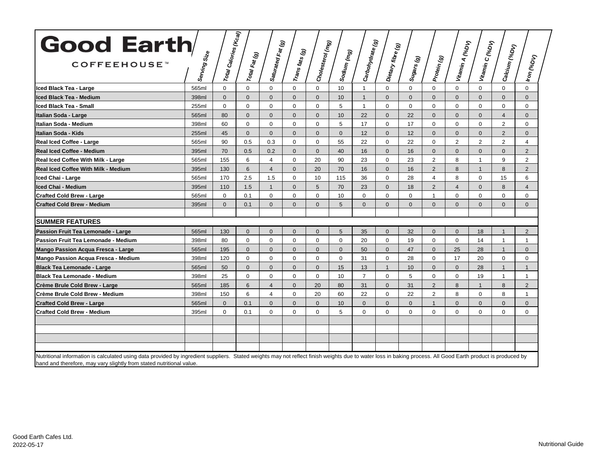| <b>Good Earth</b>                                                                                                                                                                                                                                                                   |              |                                                     |                |                                         |                                    |                  |              |                  |                   |                                                                                                                   |                |                 |                 |                |                |
|-------------------------------------------------------------------------------------------------------------------------------------------------------------------------------------------------------------------------------------------------------------------------------------|--------------|-----------------------------------------------------|----------------|-----------------------------------------|------------------------------------|------------------|--------------|------------------|-------------------|-------------------------------------------------------------------------------------------------------------------|----------------|-----------------|-----------------|----------------|----------------|
| <b>COFFEEHOUSE</b> <sup>*</sup>                                                                                                                                                                                                                                                     | Serving Size | $\left  r_{0tq_l} c_{alor_{l\bar e s} }$ (Kca $y$ ) | Total Fat (g)  | Saturated Fat (g)<br>Carturated Fat (g) | $\vert r_{\rm ans \, \it fats}(g)$ | Cholesterol (mg) | Sodium (mg)  | Carbohydrate (g) | Dietary fibre (g) | $\left {\rm S}_{\mathsf{U} {\mathsf{g}}{\mathsf{a}}{\mathsf{r}}{\mathsf{s}}}\left({\boldsymbol{g}}\right)\right $ | Protein (g)    | Vitamin A (%DV) | Vitamin C (%DV) | Calcium (%DV)  | Iron (%DV)     |
| Iced Black Tea - Large                                                                                                                                                                                                                                                              | 565ml        | $\Omega$                                            | $\Omega$       | $\mathbf 0$                             | $\mathbf 0$                        | $\mathbf 0$      | 10           | $\mathbf{1}$     | $\mathbf 0$       | $\mathbf 0$                                                                                                       | $\mathbf 0$    | $\mathbf{0}$    | $\mathbf 0$     | $\Omega$       | $\mathbf 0$    |
| Iced Black Tea - Medium                                                                                                                                                                                                                                                             | 398ml        | $\Omega$                                            | $\Omega$       | $\mathbf{0}$                            | $\mathbf{0}$                       | $\mathbf{0}$     | 10           | $\mathbf{1}$     | $\Omega$          | $\mathbf{0}$                                                                                                      | $\Omega$       | $\overline{0}$  | $\Omega$        | $\mathbf{0}$   | $\overline{0}$ |
| Iced Black Tea - Small                                                                                                                                                                                                                                                              | 255ml        | $\Omega$                                            | $\mathbf 0$    | $\mathbf 0$                             | $\mathbf 0$                        | $\mathbf 0$      | 5            | $\mathbf{1}$     | $\mathbf{0}$      | $\mathbf 0$                                                                                                       | $\mathbf 0$    | $\mathbf{0}$    | 0               | $\mathbf 0$    | 0              |
| Italian Soda - Large                                                                                                                                                                                                                                                                | 565ml        | 80                                                  | $\Omega$       | $\Omega$                                | $\Omega$                           | $\Omega$         | 10           | 22               | $\Omega$          | 22                                                                                                                | $\Omega$       | $\Omega$        | $\Omega$        | $\overline{4}$ | $\Omega$       |
| Italian Soda - Medium                                                                                                                                                                                                                                                               | 398ml        | 60                                                  | $\Omega$       | $\Omega$                                | $\Omega$                           | $\Omega$         | 5            | 17               | $\Omega$          | 17                                                                                                                | $\Omega$       | $\Omega$        | $\Omega$        | 2              | $\Omega$       |
| Italian Soda - Kids                                                                                                                                                                                                                                                                 | 255ml        | 45                                                  | $\Omega$       | $\Omega$                                | $\Omega$                           | $\Omega$         | $\mathbf{0}$ | 12               | $\Omega$          | 12                                                                                                                | $\Omega$       | $\Omega$        | $\Omega$        | 2              | $\Omega$       |
| Real Iced Coffee - Large                                                                                                                                                                                                                                                            | 565ml        | 90                                                  | 0.5            | 0.3                                     | $\Omega$                           | $\mathbf 0$      | 55           | 22               | $\Omega$          | 22                                                                                                                | $\mathbf 0$    | 2               | 2               | 2              | $\overline{4}$ |
| <b>Real Iced Coffee - Medium</b>                                                                                                                                                                                                                                                    | 395ml        | 70                                                  | 0.5            | 0.2                                     | $\Omega$                           | $\Omega$         | 40           | 16               | $\Omega$          | 16                                                                                                                | $\Omega$       | $\Omega$        | $\Omega$        | $\Omega$       | $\overline{2}$ |
| Real Iced Coffee With Milk - Large                                                                                                                                                                                                                                                  | 565ml        | 155                                                 | 6              | $\overline{4}$                          | $\Omega$                           | 20               | 90           | 23               | $\Omega$          | 23                                                                                                                | 2              | 8               | $\mathbf{1}$    | 9              | $\overline{2}$ |
| <b>Real Iced Coffee With Milk - Medium</b>                                                                                                                                                                                                                                          | 395ml        | 130                                                 | 6              | $\overline{4}$                          | $\mathbf{0}$                       | 20               | 70           | 16               | $\mathbf{0}$      | 16                                                                                                                | $\overline{2}$ | 8               | $\mathbf{1}$    | 8              | $\overline{2}$ |
| Iced Chai - Large                                                                                                                                                                                                                                                                   | 565ml        | 170                                                 | 2.5            | 1.5                                     | $\mathbf 0$                        | 10               | 115          | 36               | $\mathbf 0$       | 28                                                                                                                | $\overline{4}$ | 8               | 0               | 15             | 6              |
| Iced Chai - Medium                                                                                                                                                                                                                                                                  | 395ml        | 110                                                 | 1.5            | $\mathbf{1}$                            | $\mathbf{0}$                       | 5                | 70           | 23               | $\mathbf{0}$      | 18                                                                                                                | 2              | $\overline{4}$  | $\Omega$        | 8              | $\overline{4}$ |
| <b>Crafted Cold Brew - Large</b>                                                                                                                                                                                                                                                    | 565ml        | 0                                                   | 0.1            | $\mathbf 0$                             | $\mathbf 0$                        | $\mathbf 0$      | 10           | $\mathbf 0$      | $\mathbf 0$       | $\mathbf 0$                                                                                                       | 1              | $\mathbf 0$     | $\mathbf 0$     | $\mathbf 0$    | 0              |
| <b>Crafted Cold Brew - Medium</b>                                                                                                                                                                                                                                                   | 395ml        | $\Omega$                                            | 0.1            | $\Omega$                                | $\Omega$                           | $\Omega$         | 5            | $\Omega$         | $\Omega$          | $\Omega$                                                                                                          | $\Omega$       | $\overline{0}$  | $\Omega$        | $\Omega$       | $\Omega$       |
| <b>SUMMER FEATURES</b>                                                                                                                                                                                                                                                              |              |                                                     |                |                                         |                                    |                  |              |                  |                   |                                                                                                                   |                |                 |                 |                |                |
| Passion Fruit Tea Lemonade - Large                                                                                                                                                                                                                                                  | 565ml        | 130                                                 | $\mathbf{0}$   | $\mathbf{0}$                            | $\mathbf{0}$                       | $\mathbf{0}$     | 5            | 35               | $\mathbf{0}$      | 32                                                                                                                | $\Omega$       | $\mathbf{0}$    | 18              | $\overline{1}$ | $\overline{2}$ |
| Passion Fruit Tea Lemonade - Medium                                                                                                                                                                                                                                                 | 398ml        | 80                                                  | $\mathbf 0$    | $\mathbf 0$                             | 0                                  | 0                | $\mathbf 0$  | 20               | $\mathbf 0$       | 19                                                                                                                | $\Omega$       | $\mathbf 0$     | 14              | $\overline{1}$ | $\overline{1}$ |
| Mango Passion Acqua Fresca - Large                                                                                                                                                                                                                                                  | 565ml        | 195                                                 | $\mathbf{0}$   | $\mathbf 0$                             | $\mathbf{0}$                       | $\mathbf{0}$     | $\mathbf{0}$ | 50               | $\mathbf{0}$      | 47                                                                                                                | $\Omega$       | 25              | 28              | $\overline{1}$ | $\overline{0}$ |
| Mango Passion Acqua Fresca - Medium                                                                                                                                                                                                                                                 | 398ml        | 120                                                 | $\mathbf{0}$   | $\mathbf 0$                             | 0                                  | $\mathbf 0$      | $\mathbf 0$  | 31               | $\mathbf 0$       | 28                                                                                                                | $\mathbf 0$    | 17              | 20              | $\Omega$       | 0              |
| <b>Black Tea Lemonade - Large</b>                                                                                                                                                                                                                                                   | 565ml        | 50                                                  | $\overline{0}$ | $\mathbf{0}$                            | $\mathbf{0}$                       | $\overline{0}$   | 15           | 13               | $\mathbf{1}$      | 10 <sup>1</sup>                                                                                                   | $\Omega$       | $\overline{0}$  | 28              | $\overline{1}$ | $\mathbf{1}$   |
| <b>Black Tea Lemonade - Medium</b>                                                                                                                                                                                                                                                  | 398ml        | 25                                                  | $\mathbf{0}$   | $\mathbf 0$                             | $\mathbf 0$                        | $\mathbf 0$      | 10           | $\overline{7}$   | $\mathbf 0$       | 5                                                                                                                 | $\mathbf 0$    | $\mathbf 0$     | 19              | $\mathbf{1}$   | $\mathbf{1}$   |
| Crème Brule Cold Brew - Large                                                                                                                                                                                                                                                       | 565ml        | 185                                                 | 6              | $\overline{4}$                          | $\Omega$                           | 20               | 80           | 31               | $\Omega$          | 31                                                                                                                | 2              | 8               | $\mathbf{1}$    | 8              | $\overline{2}$ |
| Crème Brule Cold Brew - Medium                                                                                                                                                                                                                                                      | 398ml        | 150                                                 | 6              | $\overline{4}$                          | $\Omega$                           | 20               | 60           | 22               | $\Omega$          | 22                                                                                                                | $\overline{2}$ | 8               | $\Omega$        | 8              | $\mathbf{1}$   |
| <b>Crafted Cold Brew - Large</b>                                                                                                                                                                                                                                                    | 565ml        | $\Omega$                                            | 0.1            | $\mathbf{0}$                            | $\Omega$                           | $\mathbf{0}$     | 10           | $\Omega$         | $\mathbf{0}$      | $\mathbf{0}$                                                                                                      | $\overline{1}$ | $\mathbf{0}$    | $\mathbf{0}$    | $\Omega$       | $\overline{0}$ |
| <b>Crafted Cold Brew - Medium</b>                                                                                                                                                                                                                                                   | 395ml        | $\Omega$                                            | 0.1            | $\Omega$                                | $\Omega$                           | $\mathbf{0}$     | 5            | $\Omega$         | $\mathbf 0$       | $\mathbf 0$                                                                                                       | $\Omega$       | $\mathbf{0}$    | $\Omega$        | $\Omega$       | $\mathbf 0$    |
|                                                                                                                                                                                                                                                                                     |              |                                                     |                |                                         |                                    |                  |              |                  |                   |                                                                                                                   |                |                 |                 |                |                |
| Nutritional information is calculated using data provided by ingredient suppliers. Stated weights may not reflect finish weights due to water loss in baking process. All Good Earth product is produced by<br>hand and therefore, may vary slightly from stated nutritional value. |              |                                                     |                |                                         |                                    |                  |              |                  |                   |                                                                                                                   |                |                 |                 |                |                |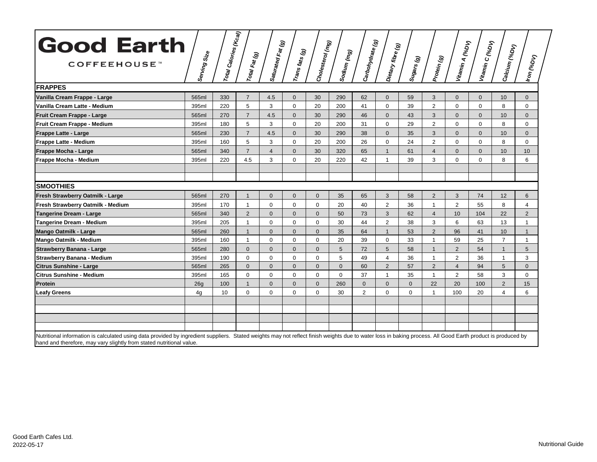| <b>Good Earth</b>                                                                                                                                                                                           |              | $\left   r_{0t a l} \right  _{\text{Caloris}\,(\mathcal{K}_{\text{Cal}})}$ |                | Saturated Fat (g)<br>Carturated Fat (g) |                              | Cholesterol (mg) |             | Carbohydrate (g) |                   |                       |                | Vitamin A (%D <sub>V)</sub> | Vitamin C (%D <sub>V)</sub> |                |                       |
|-------------------------------------------------------------------------------------------------------------------------------------------------------------------------------------------------------------|--------------|----------------------------------------------------------------------------|----------------|-----------------------------------------|------------------------------|------------------|-------------|------------------|-------------------|-----------------------|----------------|-----------------------------|-----------------------------|----------------|-----------------------|
| COFFEEHOUSE <sup>W</sup>                                                                                                                                                                                    | Serving Size |                                                                            | Total Fat (g)  |                                         | $ r_{\sf ans}_{\sf fast}(g)$ |                  | Sodium (mg) |                  | Dietary fibre (g) | Sugars <sub>(g)</sub> | Protein (g)    |                             |                             | Calcium (%Dv)  | Iron <sub>(%DV)</sub> |
| <b>FRAPPES</b>                                                                                                                                                                                              |              |                                                                            |                |                                         |                              |                  |             |                  |                   |                       |                |                             |                             |                |                       |
| Vanilla Cream Frappe - Large                                                                                                                                                                                | 565ml        | 330                                                                        | $\overline{7}$ | 4.5                                     | $\mathbf 0$                  | 30               | 290         | 62               | $\mathbf{0}$      | 59                    | 3              | $\mathbf{0}$                | $\mathbf 0$                 | 10             | 0                     |
| Vanilla Cream Latte - Medium                                                                                                                                                                                | 395ml        | 220                                                                        | 5              | 3                                       | 0                            | 20               | 200         | 41               | $\mathbf 0$       | 39                    | $\overline{2}$ | $\mathbf 0$                 | $\mathbf 0$                 | 8              | 0                     |
| Fruit Cream Frappe - Large                                                                                                                                                                                  | 565ml        | 270                                                                        | $\overline{7}$ | 4.5                                     | $\mathbf{0}$                 | 30               | 290         | 46               | $\mathbf{0}$      | 43                    | 3              | $\Omega$                    | $\mathbf{0}$                | 10             | $\overline{0}$        |
| Fruit Cream Frappe - Medium                                                                                                                                                                                 | 395ml        | 180                                                                        | 5              | 3                                       | $\mathbf 0$                  | 20               | 200         | 31               | $\mathbf 0$       | 29                    | $\overline{2}$ | $\mathbf 0$                 | $\mathbf 0$                 | 8              | 0                     |
| <b>Frappe Latte - Large</b>                                                                                                                                                                                 | 565ml        | 230                                                                        | $\overline{7}$ | 4.5                                     | $\overline{0}$               | 30               | 290         | 38               | $\Omega$          | 35                    | 3              | $\mathbf{0}$                | $\mathbf{0}$                | 10             | $\overline{0}$        |
| <b>Frappe Latte - Medium</b>                                                                                                                                                                                | 395ml        | 160                                                                        | 5              | 3                                       | $\mathbf 0$                  | 20               | 200         | 26               | $\mathbf 0$       | 24                    | $\overline{2}$ | $\Omega$                    | $\mathbf 0$                 | 8              | $\mathbf 0$           |
| Frappe Mocha - Large                                                                                                                                                                                        | 565ml        | 340                                                                        | $\overline{7}$ | $\overline{4}$                          | $\overline{0}$               | 30               | 320         | 65               | $\mathbf{1}$      | 61                    | $\overline{4}$ | $\mathbf{0}$                | $\mathbf{0}$                | 10             | 10                    |
| Frappe Mocha - Medium                                                                                                                                                                                       | 395ml        | 220                                                                        | 4.5            | 3                                       | $\mathbf 0$                  | 20               | 220         | 42               | $\mathbf 1$       | 39                    | 3              | $\Omega$                    | $\Omega$                    | 8              | 6                     |
|                                                                                                                                                                                                             |              |                                                                            |                |                                         |                              |                  |             |                  |                   |                       |                |                             |                             |                |                       |
| <b>SMOOTHIES</b>                                                                                                                                                                                            |              |                                                                            |                |                                         |                              |                  |             |                  |                   |                       |                |                             |                             |                |                       |
| Fresh Strawberry Oatmilk - Large                                                                                                                                                                            | 565ml        | 270                                                                        | $\mathbf{1}$   | $\mathbf{0}$                            | $\mathbf{0}$                 | $\Omega$         | 35          | 65               | 3                 | 58                    | 2              | 3                           | 74                          | 12             | 6                     |
| Fresh Strawberry Oatmilk - Medium                                                                                                                                                                           | 395ml        | 170                                                                        | $\mathbf{1}$   | $\mathbf 0$                             | $\mathbf 0$                  | $\mathbf 0$      | 20          | 40               | $\overline{2}$    | 36                    | $\mathbf{1}$   | $\overline{2}$              | 55                          | 8              | 4                     |
| Tangerine Dream - Large                                                                                                                                                                                     | 565ml        | 340                                                                        | $\overline{2}$ | $\overline{0}$                          | $\mathbf{0}$                 | $\mathbf{0}$     | 50          | 73               | 3                 | 62                    | $\overline{4}$ | 10                          | 104                         | 22             | $\overline{2}$        |
| Tangerine Dream - Medium                                                                                                                                                                                    | 395ml        | 205                                                                        | $\mathbf{1}$   | $\mathbf 0$                             | 0                            | $\mathbf 0$      | 30          | 44               | $\overline{2}$    | 38                    | 3              | 6                           | 63                          | 13             | $\mathbf{1}$          |
| <b>Mango Oatmilk - Large</b>                                                                                                                                                                                | 565ml        | 260                                                                        | $\mathbf{1}$   | $\mathbf{0}$                            | $\mathbf 0$                  | $\mathbf{0}$     | 35          | 64               | $\overline{1}$    | 53                    | 2              | 96                          | 41                          | 10             | $\mathbf{1}$          |
| Mango Oatmilk - Medium                                                                                                                                                                                      | 395ml        | 160                                                                        | $\mathbf{1}$   | $\mathbf 0$                             | 0                            | $\mathbf 0$      | 20          | 39               | $\mathbf 0$       | 33                    | $\mathbf{1}$   | 59                          | 25                          | $\overline{7}$ | 1                     |
| <b>Strawberry Banana - Large</b>                                                                                                                                                                            | 565ml        | 280                                                                        | $\Omega$       | $\mathbf{0}$                            | $\mathbf{0}$                 | $\Omega$         | 5           | 72               | 5                 | 58                    | $\mathbf{1}$   | 2                           | 54                          | $\overline{1}$ | 5                     |
| Strawberry Banana - Medium                                                                                                                                                                                  | 395ml        | 190                                                                        | $\Omega$       | $\mathbf 0$                             | 0                            | $\Omega$         | 5           | 49               | $\overline{4}$    | 36                    | $\mathbf{1}$   | 2                           | 36                          | 1              | 3                     |
| <b>Citrus Sunshine - Large</b>                                                                                                                                                                              | 565ml        | 265                                                                        | $\mathbf{0}$   | $\mathbf{0}$                            | $\overline{0}$               | $\mathbf{0}$     | $\Omega$    | 60               | 2                 | 57                    | 2              | $\overline{4}$              | 94                          | 5              | $\overline{0}$        |
| Citrus Sunshine - Medium                                                                                                                                                                                    | 395ml        | 165                                                                        | $\mathbf 0$    | $\mathbf 0$                             | 0                            | $\mathbf 0$      | $\mathbf 0$ | 37               | $\overline{1}$    | 35                    | $\mathbf{1}$   | 2                           | 58                          | 3              | 0                     |
| Protein                                                                                                                                                                                                     | 26g          | 100                                                                        | $\mathbf{1}$   | $\mathbf{0}$                            | $\mathbf{0}$                 | $\mathbf{0}$     | 260         | $\mathbf 0$      | $\overline{0}$    | $\mathbf{0}$          | 22             | 20                          | 100                         | $\overline{2}$ | 15                    |
| Leafy Greens                                                                                                                                                                                                | 4g           | 10                                                                         | $\mathbf 0$    | $\mathbf 0$                             | 0                            | $\mathbf 0$      | 30          | $\overline{2}$   | $\Omega$          | 0                     | $\mathbf{1}$   | 100                         | 20                          | 4              | 6                     |
|                                                                                                                                                                                                             |              |                                                                            |                |                                         |                              |                  |             |                  |                   |                       |                |                             |                             |                |                       |
|                                                                                                                                                                                                             |              |                                                                            |                |                                         |                              |                  |             |                  |                   |                       |                |                             |                             |                |                       |
| Nutritional information is calculated using data provided by ingredient suppliers. Stated weights may not reflect finish weights due to water loss in baking process. All Good Earth product is produced by |              |                                                                            |                |                                         |                              |                  |             |                  |                   |                       |                |                             |                             |                |                       |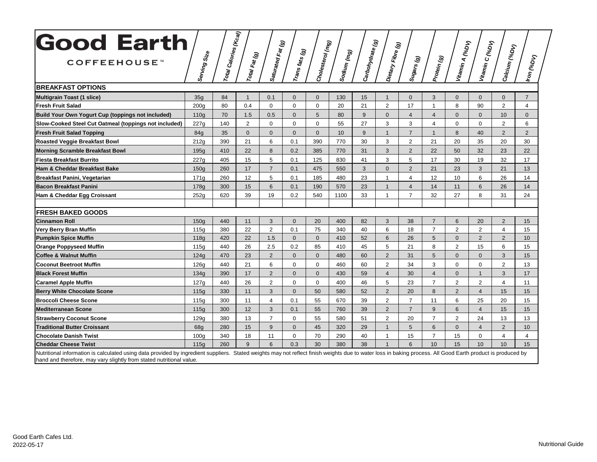| <b>Good Earth</b>                                                                                                                                                                                           |                  | $\left   r_{0t\!} \right  $ Calories (Kcal) |               |                   |                               |                  |             |                  |                   |                                                         |                |                             |                 |                         |                       |
|-------------------------------------------------------------------------------------------------------------------------------------------------------------------------------------------------------------|------------------|---------------------------------------------|---------------|-------------------|-------------------------------|------------------|-------------|------------------|-------------------|---------------------------------------------------------|----------------|-----------------------------|-----------------|-------------------------|-----------------------|
| COFFEEHOUSE <sup>™</sup>                                                                                                                                                                                    | Serving Size     |                                             | Total Fat (g) | Saturated Fat (g) | $ r_{\sf ans}_{\sf fasts}(g)$ | Cholesterol (mg) | Sodium (mg) | Carbohydrate (g) | Dietary Fibre (g) | $s_{\textit{U}g\textit{a}_{\textit{rs}}\left(g\right)}$ | Protein (g)    | Vitamin A (%D <sub>V)</sub> | Vitamin C (%DV) | Calcium (%Dv)           | Iron <sub>(%DV)</sub> |
| <b>BREAKFAST OPTIONS</b>                                                                                                                                                                                    |                  |                                             |               |                   |                               |                  |             |                  |                   |                                                         |                |                             |                 |                         |                       |
| <b>Multigrain Toast (1 slice)</b>                                                                                                                                                                           | 35g              | 84                                          | $\mathbf{1}$  | 0.1               | $\overline{0}$                | $\mathbf{0}$     | 130         | 15               | $\mathbf{1}$      | $\mathbf{0}$                                            | 3              | $\mathbf 0$                 | $\mathbf{0}$    | $\mathbf{0}$            | $\overline{7}$        |
| <b>Fresh Fruit Salad</b>                                                                                                                                                                                    | 200 <sub>g</sub> | 80                                          | 0.4           | $\mathbf 0$       | $\mathbf 0$                   | $\mathbf 0$      | 20          | 21               | $\overline{2}$    | 17                                                      | $\mathbf{1}$   | 8                           | 90              | $\overline{2}$          | $\overline{4}$        |
| Build Your Own Yogurt Cup (toppings not included)                                                                                                                                                           | 110 <sub>g</sub> | 70                                          | 1.5           | 0.5               | $\Omega$                      | 5                | 80          | 9                | $\Omega$          | $\overline{4}$                                          | $\overline{4}$ | $\Omega$                    | $\mathbf{0}$    | 10                      | $\overline{0}$        |
| Slow-Cooked Steel Cut Oatmeal (toppings not included)                                                                                                                                                       | 227g             | 140                                         | 2             | $\mathbf 0$       | $\mathbf 0$                   | $\Omega$         | 55          | 27               | 3                 | 3                                                       | $\overline{4}$ | $\Omega$                    | $\Omega$        | $\overline{2}$          | 6                     |
| <b>Fresh Fruit Salad Topping</b>                                                                                                                                                                            | 84 <sub>a</sub>  | 35                                          | $\mathbf{0}$  | $\mathbf{0}$      | $\mathbf{0}$                  | $\mathbf{0}$     | 10          | 9                | $\mathbf{1}$      | $\overline{7}$                                          | $\mathbf{1}$   | 8                           | 40              | $\overline{2}$          | $\overline{2}$        |
| <b>Roasted Veggie Breakfast Bowl</b>                                                                                                                                                                        | 212q             | 390                                         | 21            | 6                 | 0.1                           | 390              | 770         | 30               | 3                 | $\overline{2}$                                          | 21             | 20                          | 35              | 20                      | 30                    |
| <b>Morning Scramble Breakfast Bowl</b>                                                                                                                                                                      | 195g             | 410                                         | 22            | 8                 | 0.2                           | 385              | 770         | 31               | 3                 | $\overline{2}$                                          | 22             | 50                          | 32              | 23                      | 22                    |
| <b>Fiesta Breakfast Burrito</b>                                                                                                                                                                             | 227q             | 405                                         | 15            | 5                 | 0.1                           | 125              | 830         | 41               | 3                 | 5                                                       | 17             | 30                          | 19              | 32                      | 17                    |
| Ham & Cheddar Breakfast Bake                                                                                                                                                                                | 150q             | 260                                         | 17            | $\overline{7}$    | 0.1                           | 475              | 550         | 3                | $\Omega$          | $\overline{2}$                                          | 21             | 23                          | 3               | 21                      | 13                    |
| Breakfast Panini, Vegetarian                                                                                                                                                                                | 171q             | 260                                         | 12            | $\overline{5}$    | 0.1                           | 185              | 480         | 23               | $\mathbf{1}$      | $\overline{4}$                                          | 12             | 10                          | 6               | 26                      | 14                    |
| <b>Bacon Breakfast Panini</b>                                                                                                                                                                               | 178g             | 300                                         | 15            | 6                 | 0.1                           | 190              | 570         | 23               | $\mathbf{1}$      | $\overline{4}$                                          | 14             | 11                          | 6               | 26                      | 14                    |
| Ham & Cheddar Egg Croissant                                                                                                                                                                                 | 252g             | 620                                         | 39            | 19                | 0.2                           | 540              | 1100        | 33               | $\mathbf{1}$      | $\overline{7}$                                          | 32             | 27                          | 8               | 31                      | 24                    |
| <b>FRESH BAKED GOODS</b>                                                                                                                                                                                    |                  |                                             |               |                   |                               |                  |             |                  |                   |                                                         |                |                             |                 |                         |                       |
| <b>Cinnamon Roll</b>                                                                                                                                                                                        | 150q             | 440                                         | 11            | 3                 | $\Omega$                      | 20               | 400         | 82               | 3                 | 38                                                      | $\overline{7}$ | 6                           | 20              | $\overline{2}$          | 15                    |
| Very Berry Bran Muffin                                                                                                                                                                                      | 115g             | 380                                         | 22            | $\overline{2}$    | 0.1                           | 75               | 340         | 40               | 6                 | 18                                                      | $\overline{7}$ | $\overline{2}$              | 2               | $\overline{\mathbf{4}}$ | 15                    |
| <b>Pumpkin Spice Muffin</b>                                                                                                                                                                                 | 118g             | 420                                         | 22            | 1.5               | $\overline{0}$                | $\mathbf{0}$     | 410         | 52               | 6                 | 26                                                      | 5              | $\mathbf 0$                 | 2               | $\overline{2}$          | 10                    |
| <b>Orange Poppyseed Muffin</b>                                                                                                                                                                              | 115g             | 440                                         | 26            | 2.5               | 0.2                           | 85               | 410         | 45               | 5                 | 21                                                      | 8              | $\overline{2}$              | 15              | 6                       | 15                    |
| <b>Coffee &amp; Walnut Muffin</b>                                                                                                                                                                           | 124g             | 470                                         | 23            | $\overline{2}$    | $\overline{0}$                | $\mathbf{0}$     | 480         | 60               | $\overline{2}$    | 31                                                      | 5              | $\mathbf 0$                 | $\mathbf{0}$    | 3                       | 15                    |
| <b>Coconut Beetroot Muffin</b>                                                                                                                                                                              | 126g             | 440                                         | 21            | 6                 | $\mathbf 0$                   | $\mathbf 0$      | 460         | 60               | $\overline{2}$    | 34                                                      | 3              | $\mathbf 0$                 | $\mathbf 0$     | $\overline{2}$          | 13                    |
| <b>Black Forest Muffin</b>                                                                                                                                                                                  | 134g             | 390                                         | 17            | 2                 | $\mathbf{0}$                  | $\mathbf{0}$     | 430         | 59               | $\overline{4}$    | 30                                                      | $\overline{4}$ | $\mathbf{0}$                | $\mathbf{1}$    | 3                       | 17                    |
| <b>Caramel Apple Muffin</b>                                                                                                                                                                                 | 127q             | 440                                         | 26            | $\overline{2}$    | $\mathbf 0$                   | $\mathbf 0$      | 400         | 46               | 5                 | 23                                                      | $\overline{7}$ | $\overline{2}$              | $\overline{2}$  | $\overline{\mathbf{4}}$ | 11                    |
| <b>Berry White Chocolate Scone</b>                                                                                                                                                                          | 115g             | 330                                         | 11            | 3                 | $\overline{0}$                | 50               | 580         | 52               | $\overline{2}$    | 20                                                      | 8              | $\overline{2}$              | $\overline{4}$  | 15                      | 15                    |
| <b>Broccoli Cheese Scone</b>                                                                                                                                                                                | 115g             | 300                                         | 11            | $\overline{4}$    | 0.1                           | 55               | 670         | 39               | $\overline{2}$    | $\overline{7}$                                          | 11             | 6                           | 25              | 20                      | 15                    |
| <b>Mediterranean Scone</b>                                                                                                                                                                                  | 115q             | 300                                         | 12            | 3                 | 0.1                           | 55               | 760         | 39               | $\overline{2}$    | $\overline{7}$                                          | 9              | 6                           | $\overline{4}$  | 15                      | 15                    |
| <b>Strawberry Coconut Scone</b>                                                                                                                                                                             | 129q             | 380                                         | 13            | $\overline{7}$    | $\Omega$                      | 55               | 580         | 51               | $\overline{2}$    | 20                                                      | $\overline{7}$ | $\overline{2}$              | 24              | 13                      | 13                    |
| <b>Traditional Butter Croissant</b>                                                                                                                                                                         | 68q              | 280                                         | 15            | 9                 | $\Omega$                      | 45               | 320         | 29               | $\mathbf{1}$      | 5                                                       | 6              | $\Omega$                    | $\overline{4}$  | $\overline{2}$          | 10 <sup>1</sup>       |
| <b>Chocolate Danish Twist</b>                                                                                                                                                                               | 100q             | 340                                         | 18            | 11                | $\mathbf 0$                   | 70               | 290         | 40               | $\mathbf 1$       | 15                                                      | $\overline{7}$ | 15                          | $\mathbf 0$     | $\overline{4}$          | $\overline{4}$        |
| <b>Cheddar Cheese Twist</b>                                                                                                                                                                                 | 115g             | 260                                         | 9             | 6                 | 0.3                           | 30               | 380         | 38               |                   | 6                                                       | 10             | 15                          | 10              | 10                      | 15                    |
| Nutritional information is calculated using data provided by ingredient suppliers. Stated weights may not reflect finish weights due to water loss in baking process. All Good Earth product is produced by |                  |                                             |               |                   |                               |                  |             |                  |                   |                                                         |                |                             |                 |                         |                       |

hand and therefore, may vary slightly from stated nutritional value.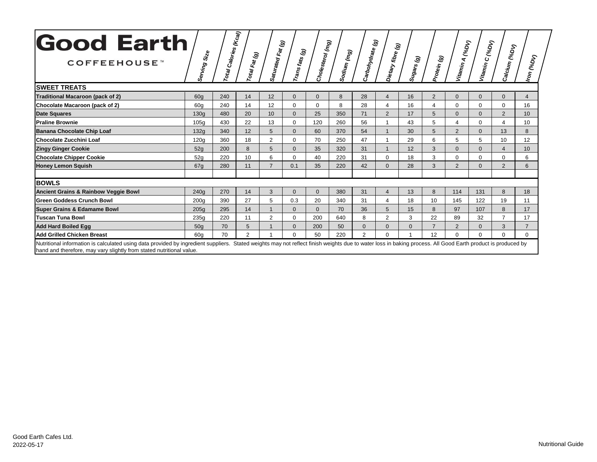| <b>Good Earth</b><br>COFFEEHOUSE <sup>™</sup><br><b>SWEET TREATS</b>                                                                                                                                                                                                                | Serving Size    | l Calories (Kcal)<br>Total | Total Fat (g)  | <br> Saturated Fat (g) | <br><sup> </sup> T <sup>ra</sup> ns fats (g) | Cholesterol (mg) | Soalium (mg)<br> | Carbohydrate (g) | Dietary fibre (g) | Sugars (g)   | Protein (g)      | Vitamin A (%D <sub>V)</sub> | Vitamin c (%D <sub>V)</sub> | Calcium (%Dv)             | Iron <sub>(%DV)</sub> |
|-------------------------------------------------------------------------------------------------------------------------------------------------------------------------------------------------------------------------------------------------------------------------------------|-----------------|----------------------------|----------------|------------------------|----------------------------------------------|------------------|------------------|------------------|-------------------|--------------|------------------|-----------------------------|-----------------------------|---------------------------|-----------------------|
| Traditional Macaroon (pack of 2)                                                                                                                                                                                                                                                    | 60q             | 240                        | 14             | 12                     | $\Omega$                                     | $\Omega$         | 8                | 28               | $\Delta$          | 16           | 2                | $\Omega$                    | $\Omega$                    | $\mathbf{0}$              | $\overline{4}$        |
| Chocolate Macaroon (pack of 2)                                                                                                                                                                                                                                                      | 60a             | 240                        | 14             | 12                     | 0                                            | $\Omega$         | 8                | 28               |                   | 16           | $\boldsymbol{4}$ | $\Omega$                    | $\Omega$                    | $\Omega$                  | 16                    |
| <b>Date Squares</b>                                                                                                                                                                                                                                                                 | 130q            | 480                        | 20             | 10                     | $\Omega$                                     | 25               | 350              | 71               | 2                 | 17           | 5                | $\Omega$                    | $\Omega$                    | 2                         | 10 <sup>1</sup>       |
| <b>Praline Brownie</b>                                                                                                                                                                                                                                                              | 105q            | 430                        | 22             | 13                     | 0                                            | 120              | 260              | 56               |                   | 43           | 5                | 4                           | $\Omega$                    | $\boldsymbol{\varLambda}$ | 10                    |
| <b>Banana Chocolate Chip Loaf</b>                                                                                                                                                                                                                                                   | 132q            | 340                        | 12             | 5                      | $\Omega$                                     | 60               | 370              | 54               |                   | 30           | 5                | $\overline{2}$              | $\mathbf{0}$                | 13                        | 8                     |
| <b>Chocolate Zucchini Loaf</b>                                                                                                                                                                                                                                                      | 120a            | 360                        | 18             | 2                      | $\mathbf 0$                                  | 70               | 250              | 47               |                   | 29           | 6                | 5                           | 5                           | 10                        | 12                    |
| <b>Zingy Ginger Cookie</b>                                                                                                                                                                                                                                                          | 52q             | 200                        | 8              | 5                      | $\Omega$                                     | 35               | 320              | 31               |                   | 12           | 3                | $\Omega$                    | $\Omega$                    |                           | 10                    |
| <b>Chocolate Chipper Cookie</b>                                                                                                                                                                                                                                                     | 52g             | 220                        | 10             | 6                      | $\Omega$                                     | 40               | 220              | 31               | $\Omega$          | 18           | 3                | $\Omega$                    | $\Omega$                    | $\Omega$                  | 6                     |
| <b>Honey Lemon Squish</b>                                                                                                                                                                                                                                                           | 67q             | 280                        | 11             | $\overline{7}$         | 0.1                                          | 35               | 220              | 42               | $\Omega$          | 28           | 3                | $\overline{2}$              | $\mathbf{0}$                | $\overline{2}$            | 6                     |
| <b>BOWLS</b>                                                                                                                                                                                                                                                                        |                 |                            |                |                        |                                              |                  |                  |                  |                   |              |                  |                             |                             |                           |                       |
| <b>Ancient Grains &amp; Rainbow Veggie Bowl</b>                                                                                                                                                                                                                                     | 240q            | 270                        | 14             | 3                      | $\mathbf{0}$                                 | $\Omega$         | 380              | 31               | $\overline{4}$    | 13           | 8                | 114                         | 131                         | 8                         | 18                    |
| <b>Green Goddess Crunch Bowl</b>                                                                                                                                                                                                                                                    | 200q            | 390                        | 27             | 5                      | 0.3                                          | 20               | 340              | 31               |                   | 18           | 10               | 145                         | 122                         | 19                        | 11                    |
| <b>Super Grains &amp; Edamame Bowl</b>                                                                                                                                                                                                                                              | 205g            | 295                        | 14             | $\overline{1}$         | $\Omega$                                     | $\Omega$         | 70               | 36               |                   | 15           | 8                | 97                          | 107                         | 8                         | 17                    |
| <b>Tuscan Tuna Bowl</b>                                                                                                                                                                                                                                                             | 235q            | 220                        | 11             | $\overline{2}$         | $\Omega$                                     | 200              | 640              | 8                | 2                 | 3            | 22               | 89                          | 32                          | $\overline{7}$            | 17                    |
| <b>Add Hard Boiled Egg</b>                                                                                                                                                                                                                                                          | 50 <sub>a</sub> | 70                         | 5              |                        | $\Omega$                                     | 200              | 50               | $\Omega$         | $\Omega$          | $\mathbf{0}$ | $\overline{ }$   | $\overline{2}$              | $\mathbf{0}$                | 3                         | $\overline{7}$        |
| <b>Add Grilled Chicken Breast</b>                                                                                                                                                                                                                                                   | 60a             | 70                         | $\overline{2}$ |                        | $\Omega$                                     | 50               | 220              | $\overline{2}$   | $\Omega$          |              | 12               | $\Omega$                    | $\Omega$                    | $\Omega$                  | $\Omega$              |
| Nutritional information is calculated using data provided by ingredient suppliers. Stated weights may not reflect finish weights due to water loss in baking process. All Good Earth product is produced by<br>hand and therefore, may vary slightly from stated nutritional value. |                 |                            |                |                        |                                              |                  |                  |                  |                   |              |                  |                             |                             |                           |                       |